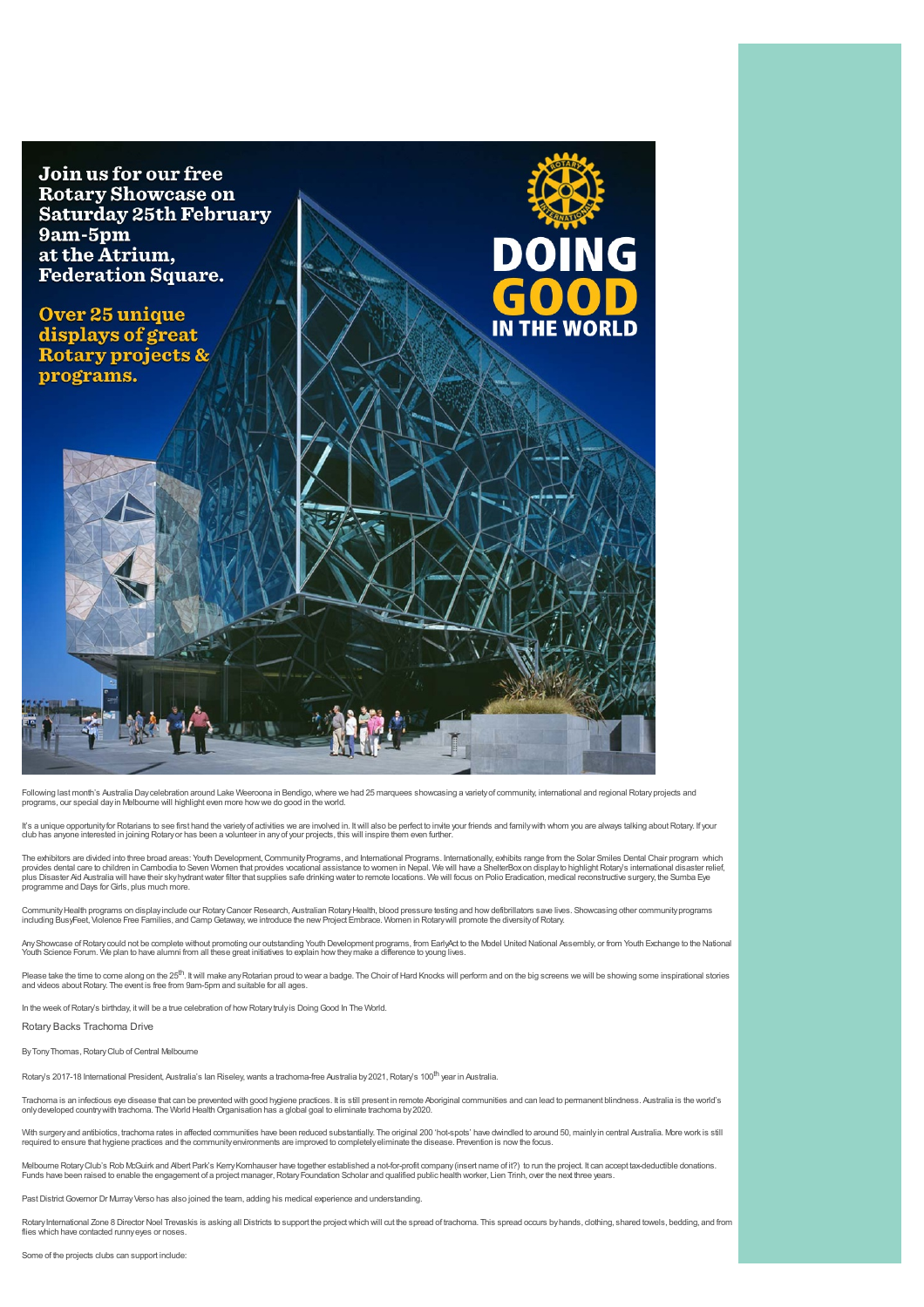

Following last month's Australia Daycelebration around Lake Weeroona in Bendigo, where we had 25 marquees showcasing a variety of community, international and regional Rotary projects and<br>programs, our special day in Melbo

It's a unique opportunity for Rotarians to see first hand the variety of activities we are involved in. It will also be perfect to invite your friends and family with whom you are always talking about Rotary. If your<br>club club has any one interested in terms in the metallicity of the metallic interest in any of your projects, this will inspire them even further.

The exhibitors are divided into three broad areas: Youth Development, Community Programs, and International Programs. Internationally, exhibits range from the Solar Smiles Dental Chair program which<br>provides dental care to plus Disaster Aid Australia will have their skyhydrantwater filter that supplies safe drinking water to remote locations. We will focus on Polio Eradication, medical reconstructive surgery, the Sumba Eye programme and Days for Girls, plus much more

Community Health programs on display include our Rotary Cancer Research, Australian Rotary Health, blood pressure testing and how defibrillators save lives. Showcasing other community programs<br>including BusyFeet, Violence

Any Showcase of Rotary could not be complete without promoting our outstanding Youth Development programs, from EarlyAct to the Model United National Assembly, or from Youth Exchange to the National<br>Youth Science Forum. We

Please take the time to come along on the 25<sup>th</sup>. It will make any Rotarian proud to wear a badge. The Choir of Hard Knocks will perform and on the big screens we will be showing some inspirational stories<br>and videos about

In the week of Rotary's birthday, it will be a true celebration of how Rotarytruly is Doing Good In The World.

Rotary Backs Trachoma Drive

By Tony Thomas, Rotary Club of Central Melbourne

Rotary's 2017-18 International President, Australia's lan Riseley, wants a trachoma-free Australia by 2021, Rotary's 100<sup>th</sup> year in Australia.

Trachoma is an infectious eye disease that can be prevented with good hygiene practices. It is still present in remote Aboriginal communities and can lead to permanent blindness. Australia is the world's<br>only developed cou

With surgery and antibiotics, trachoma rates in affected communities have been reduced substantially. The original 200 'hot-spots' have dwindled to around 50, mainly in central Australia. More work is still<br>required to ens

Melboume Rotary Club's Rob McGuirk and Albert Park's Kerry Komhauser have together established a not-for-profit company (insert name of it?) to run the project. It can accept tax-deductible donations.<br>Funds have been raise

Past District Governor Dr Murray Verso has also joined the team, adding his medical experience and understanding.

Rotary International Zone 8 Director Noel Trevaskis is asking all Districts to support the project which will cut the spread of trachoma. This spread occurs by hands, dothing, shared towels, bedding, and from